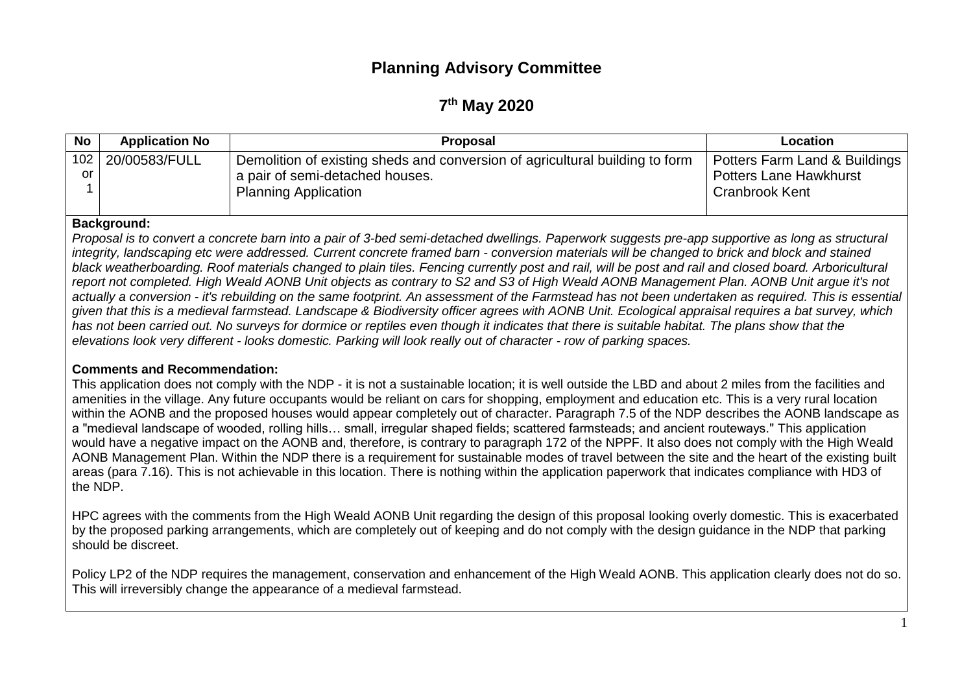# **Planning Advisory Committee**

# **7 th May 2020**

| No | <b>Application No</b>    | <b>Proposal</b>                                                              | Location                      |
|----|--------------------------|------------------------------------------------------------------------------|-------------------------------|
|    | 102 20/00583/FULL        | Demolition of existing sheds and conversion of agricultural building to form | Potters Farm Land & Buildings |
| or |                          | a pair of semi-detached houses.                                              | <b>Potters Lane Hawkhurst</b> |
|    |                          | <b>Planning Application</b>                                                  | Cranbrook Kent                |
|    | والمحدد ومستمرا والمتحال |                                                                              |                               |

#### **Background:**

*Proposal is to convert a concrete barn into a pair of 3-bed semi-detached dwellings. Paperwork suggests pre-app supportive as long as structural integrity, landscaping etc were addressed. Current concrete framed barn - conversion materials will be changed to brick and block and stained black weatherboarding. Roof materials changed to plain tiles. Fencing currently post and rail, will be post and rail and closed board. Arboricultural report not completed. High Weald AONB Unit objects as contrary to S2 and S3 of High Weald AONB Management Plan. AONB Unit argue it's not actually a conversion - it's rebuilding on the same footprint. An assessment of the Farmstead has not been undertaken as required. This is essential given that this is a medieval farmstead. Landscape & Biodiversity officer agrees with AONB Unit. Ecological appraisal requires a bat survey, which has not been carried out. No surveys for dormice or reptiles even though it indicates that there is suitable habitat. The plans show that the elevations look very different - looks domestic. Parking will look really out of character - row of parking spaces.*

#### **Comments and Recommendation:**

This application does not comply with the NDP - it is not a sustainable location; it is well outside the LBD and about 2 miles from the facilities and amenities in the village. Any future occupants would be reliant on cars for shopping, employment and education etc. This is a very rural location within the AONB and the proposed houses would appear completely out of character. Paragraph 7.5 of the NDP describes the AONB landscape as a "medieval landscape of wooded, rolling hills… small, irregular shaped fields; scattered farmsteads; and ancient routeways." This application would have a negative impact on the AONB and, therefore, is contrary to paragraph 172 of the NPPF. It also does not comply with the High Weald AONB Management Plan. Within the NDP there is a requirement for sustainable modes of travel between the site and the heart of the existing built areas (para 7.16). This is not achievable in this location. There is nothing within the application paperwork that indicates compliance with HD3 of the NDP.

HPC agrees with the comments from the High Weald AONB Unit regarding the design of this proposal looking overly domestic. This is exacerbated by the proposed parking arrangements, which are completely out of keeping and do not comply with the design guidance in the NDP that parking should be discreet.

Policy LP2 of the NDP requires the management, conservation and enhancement of the High Weald AONB. This application clearly does not do so. This will irreversibly change the appearance of a medieval farmstead.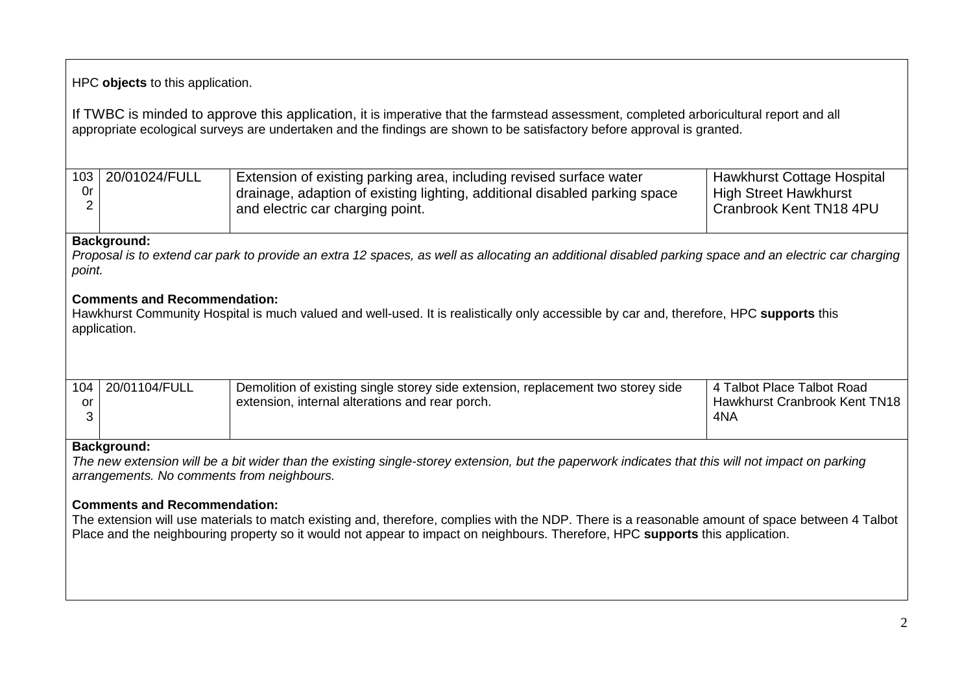HPC **objects** to this application.

If TWBC is minded to approve this application, it is imperative that the farmstead assessment, completed arboricultural report and all appropriate ecological surveys are undertaken and the findings are shown to be satisfactory before approval is granted.

| 0r | 103 20/01024/FULL | Extension of existing parking area, including revised surface water<br>drainage, adaption of existing lighting, additional disabled parking space<br>and electric car charging point. | Hawkhurst Cottage Hospital<br>High Street Hawkhurst<br>Cranbrook Kent TN18 4PU |
|----|-------------------|---------------------------------------------------------------------------------------------------------------------------------------------------------------------------------------|--------------------------------------------------------------------------------|
|    |                   |                                                                                                                                                                                       |                                                                                |

### **Background:**

*Proposal is to extend car park to provide an extra 12 spaces, as well as allocating an additional disabled parking space and an electric car charging point.*

## **Comments and Recommendation:**

Hawkhurst Community Hospital is much valued and well-used. It is realistically only accessible by car and, therefore, HPC **supports** this application.

|    | 104 20/01104/FULL | Demolition of existing single storey side extension, replacement two storey side | 4 Talbot Place Talbot Road                 |
|----|-------------------|----------------------------------------------------------------------------------|--------------------------------------------|
| or |                   | extension, internal alterations and rear porch.                                  | <sup>1</sup> Hawkhurst Cranbrook Kent TN18 |
|    |                   |                                                                                  | 4NA                                        |
|    |                   |                                                                                  |                                            |

## **Background:**

*The new extension will be a bit wider than the existing single-storey extension, but the paperwork indicates that this will not impact on parking arrangements. No comments from neighbours.*

### **Comments and Recommendation:**

The extension will use materials to match existing and, therefore, complies with the NDP. There is a reasonable amount of space between 4 Talbot Place and the neighbouring property so it would not appear to impact on neighbours. Therefore, HPC **supports** this application.